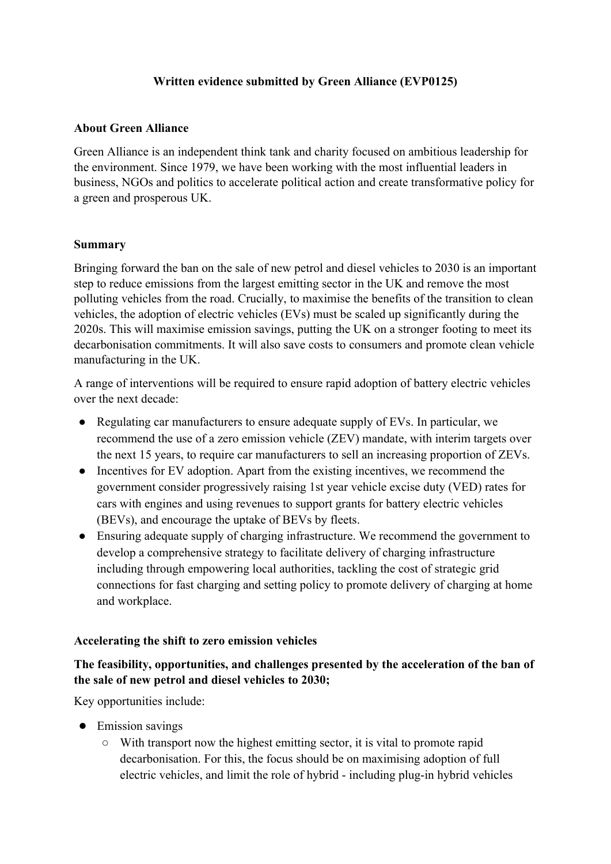### **Written evidence submitted by Green Alliance (EVP0125)**

#### **About Green Alliance**

Green Alliance is an independent think tank and charity focused on ambitious leadership for the environment. Since 1979, we have been working with the most influential leaders in business, NGOs and politics to accelerate political action and create transformative policy for a green and prosperous UK.

#### **Summary**

Bringing forward the ban on the sale of new petrol and diesel vehicles to 2030 is an important step to reduce emissions from the largest emitting sector in the UK and remove the most polluting vehicles from the road. Crucially, to maximise the benefits of the transition to clean vehicles, the adoption of electric vehicles (EVs) must be scaled up significantly during the 2020s. This will maximise emission savings, putting the UK on a stronger footing to meet its decarbonisation commitments. It will also save costs to consumers and promote clean vehicle manufacturing in the UK.

A range of interventions will be required to ensure rapid adoption of battery electric vehicles over the next decade:

- Regulating car manufacturers to ensure adequate supply of EVs. In particular, we recommend the use of a zero emission vehicle (ZEV) mandate, with interim targets over the next 15 years, to require car manufacturers to sell an increasing proportion of ZEVs.
- Incentives for EV adoption. Apart from the existing incentives, we recommend the government consider progressively raising 1st year vehicle excise duty (VED) rates for cars with engines and using revenues to support grants for battery electric vehicles (BEVs), and encourage the uptake of BEVs by fleets.
- Ensuring adequate supply of charging infrastructure. We recommend the government to develop a comprehensive strategy to facilitate delivery of charging infrastructure including through empowering local authorities, tackling the cost of strategic grid connections for fast charging and setting policy to promote delivery of charging at home and workplace.

#### **Accelerating the shift to zero emission vehicles**

### **The feasibility, opportunities, and challenges presented by the acceleration of the ban of the sale of new petrol and diesel vehicles to 2030;**

Key opportunities include:

- Emission savings
	- With transport now the highest emitting sector, it is vital to promote rapid decarbonisation. For this, the focus should be on maximising adoption of full electric vehicles, and limit the role of hybrid - including plug-in hybrid vehicles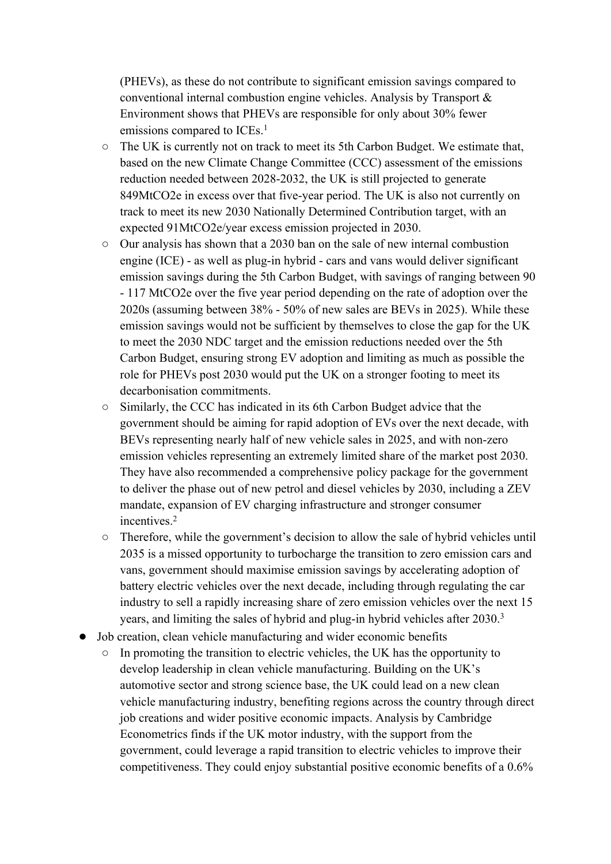(PHEVs), as these do not contribute to significant emission savings compared to conventional internal combustion engine vehicles. Analysis by Transport & Environment shows that PHEVs are responsible for only about 30% fewer emissions compared to ICEs.<sup>1</sup>

- The UK is currently not on track to meet its 5th Carbon Budget. We estimate that, based on the new Climate Change Committee (CCC) assessment of the emissions reduction needed between 2028-2032, the UK is still projected to generate 849MtCO2e in excess over that five-year period. The UK is also not currently on track to meet its new 2030 Nationally Determined Contribution target, with an expected 91MtCO2e/year excess emission projected in 2030.
- Our analysis has shown that a 2030 ban on the sale of new internal combustion engine (ICE) - as well as plug-in hybrid - cars and vans would deliver significant emission savings during the 5th Carbon Budget, with savings of ranging between 90 - 117 MtCO2e over the five year period depending on the rate of adoption over the 2020s (assuming between 38% - 50% of new sales are BEVs in 2025). While these emission savings would not be sufficient by themselves to close the gap for the UK to meet the 2030 NDC target and the emission reductions needed over the 5th Carbon Budget, ensuring strong EV adoption and limiting as much as possible the role for PHEVs post 2030 would put the UK on a stronger footing to meet its decarbonisation commitments.
- Similarly, the CCC has indicated in its 6th Carbon Budget advice that the government should be aiming for rapid adoption of EVs over the next decade, with BEVs representing nearly half of new vehicle sales in 2025, and with non-zero emission vehicles representing an extremely limited share of the market post 2030. They have also recommended a comprehensive policy package for the government to deliver the phase out of new petrol and diesel vehicles by 2030, including a ZEV mandate, expansion of EV charging infrastructure and stronger consumer incentives<sup>2</sup>
- Therefore, while the government's decision to allow the sale of hybrid vehicles until 2035 is a missed opportunity to turbocharge the transition to zero emission cars and vans, government should maximise emission savings by accelerating adoption of battery electric vehicles over the next decade, including through regulating the car industry to sell a rapidly increasing share of zero emission vehicles over the next 15 years, and limiting the sales of hybrid and plug-in hybrid vehicles after 2030.<sup>3</sup>
- Job creation, clean vehicle manufacturing and wider economic benefits
	- In promoting the transition to electric vehicles, the UK has the opportunity to develop leadership in clean vehicle manufacturing. Building on the UK's automotive sector and strong science base, the UK could lead on a new clean vehicle manufacturing industry, benefiting regions across the country through direct job creations and wider positive economic impacts. Analysis by Cambridge Econometrics finds if the UK motor industry, with the support from the government, could leverage a rapid transition to electric vehicles to improve their competitiveness. They could enjoy substantial positive economic benefits of a 0.6%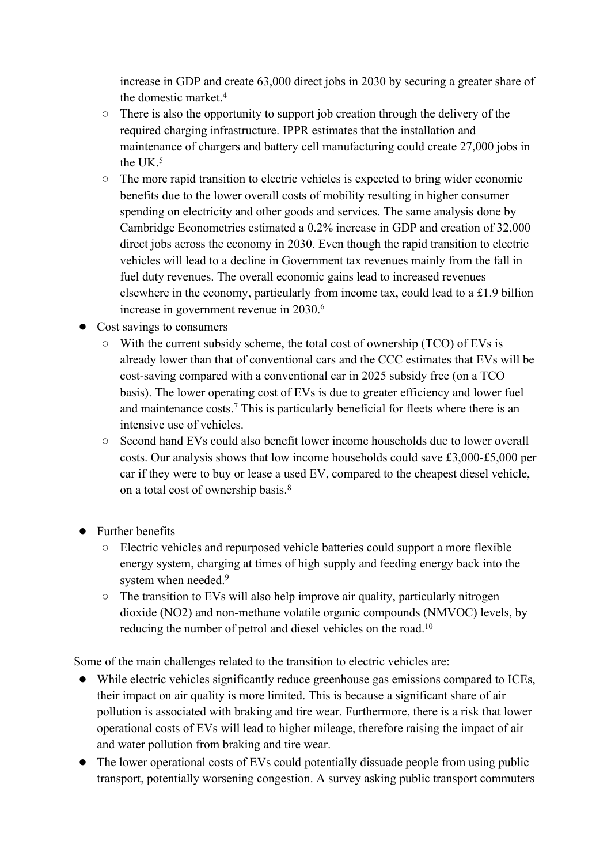increase in GDP and create 63,000 direct jobs in 2030 by securing a greater share of the domestic market.<sup>4</sup>

- There is also the opportunity to support job creation through the delivery of the required charging infrastructure. IPPR estimates that the installation and maintenance of chargers and battery cell manufacturing could create 27,000 jobs in the UK $<sup>5</sup>$ </sup>
- The more rapid transition to electric vehicles is expected to bring wider economic benefits due to the lower overall costs of mobility resulting in higher consumer spending on electricity and other goods and services. The same analysis done by Cambridge Econometrics estimated a 0.2% increase in GDP and creation of 32,000 direct jobs across the economy in 2030. Even though the rapid transition to electric vehicles will lead to a decline in Government tax revenues mainly from the fall in fuel duty revenues. The overall economic gains lead to increased revenues elsewhere in the economy, particularly from income tax, could lead to a £1.9 billion increase in government revenue in 2030.<sup>6</sup>
- Cost savings to consumers
	- With the current subsidy scheme, the total cost of ownership (TCO) of EVs is already lower than that of conventional cars and the CCC estimates that EVs will be cost-saving compared with a conventional car in 2025 subsidy free (on a TCO basis). The lower operating cost of EVs is due to greater efficiency and lower fuel and maintenance costs.<sup>7</sup> This is particularly beneficial for fleets where there is an intensive use of vehicles.
	- Second hand EVs could also benefit lower income households due to lower overall costs. Our analysis shows that low income households could save £3,000-£5,000 per car if they were to buy or lease a used EV, compared to the cheapest diesel vehicle, on a total cost of ownership basis.<sup>8</sup>
- Further benefits
	- Electric vehicles and repurposed vehicle batteries could support a more flexible energy system, charging at times of high supply and feeding energy back into the system when needed.<sup>9</sup>
	- The transition to EVs will also help improve air quality, particularly nitrogen dioxide (NO2) and non-methane volatile organic compounds (NMVOC) levels, by reducing the number of petrol and diesel vehicles on the road.<sup>10</sup>

Some of the main challenges related to the transition to electric vehicles are:

- While electric vehicles significantly reduce greenhouse gas emissions compared to ICEs, their impact on air quality is more limited. This is because a significant share of air pollution is associated with braking and tire wear. Furthermore, there is a risk that lower operational costs of EVs will lead to higher mileage, therefore raising the impact of air and water pollution from braking and tire wear.
- The lower operational costs of EVs could potentially dissuade people from using public transport, potentially worsening congestion. A survey asking public transport commuters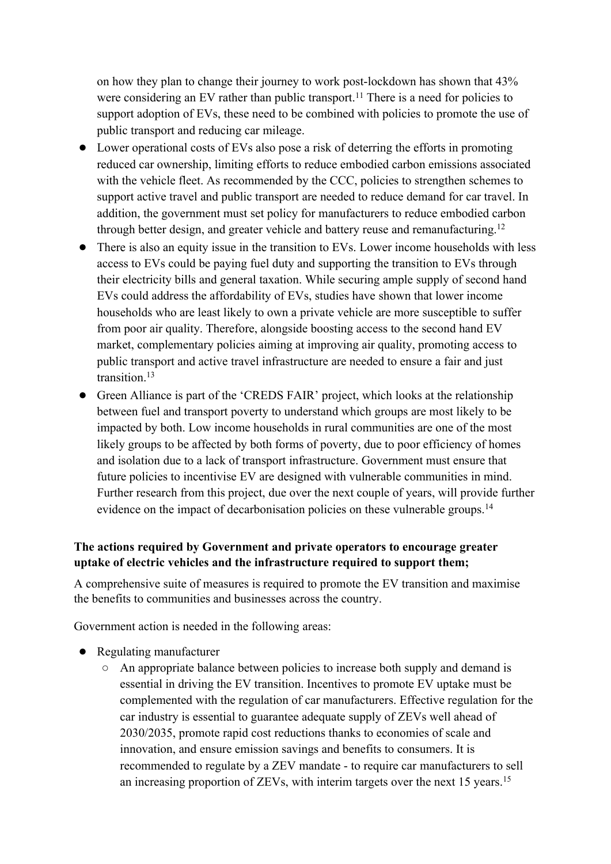on how they plan to change their journey to work post-lockdown has shown that 43% were considering an EV rather than public transport.<sup>11</sup> There is a need for policies to support adoption of EVs, these need to be combined with policies to promote the use of public transport and reducing car mileage.

- Lower operational costs of EVs also pose a risk of deterring the efforts in promoting reduced car ownership, limiting efforts to reduce embodied carbon emissions associated with the vehicle fleet. As recommended by the CCC, policies to strengthen schemes to support active travel and public transport are needed to reduce demand for car travel. In addition, the government must set policy for manufacturers to reduce embodied carbon through better design, and greater vehicle and battery reuse and remanufacturing.<sup>12</sup>
- There is also an equity issue in the transition to EVs. Lower income households with less access to EVs could be paying fuel duty and supporting the transition to EVs through their electricity bills and general taxation. While securing ample supply of second hand EVs could address the affordability of EVs, studies have shown that lower income households who are least likely to own a private vehicle are more susceptible to suffer from poor air quality. Therefore, alongside boosting access to the second hand EV market, complementary policies aiming at improving air quality, promoting access to public transport and active travel infrastructure are needed to ensure a fair and just transition<sup>13</sup>
- Green Alliance is part of the 'CREDS FAIR' project, which looks at the relationship between fuel and transport poverty to understand which groups are most likely to be impacted by both. Low income households in rural communities are one of the most likely groups to be affected by both forms of poverty, due to poor efficiency of homes and isolation due to a lack of transport infrastructure. Government must ensure that future policies to incentivise EV are designed with vulnerable communities in mind. Further research from this project, due over the next couple of years, will provide further evidence on the impact of decarbonisation policies on these vulnerable groups.<sup>14</sup>

# **The actions required by Government and private operators to encourage greater uptake of electric vehicles and the infrastructure required to support them;**

A comprehensive suite of measures is required to promote the EV transition and maximise the benefits to communities and businesses across the country.

Government action is needed in the following areas:

- Regulating manufacturer
	- An appropriate balance between policies to increase both supply and demand is essential in driving the EV transition. Incentives to promote EV uptake must be complemented with the regulation of car manufacturers. Effective regulation for the car industry is essential to guarantee adequate supply of ZEVs well ahead of 2030/2035, promote rapid cost reductions thanks to economies of scale and innovation, and ensure emission savings and benefits to consumers. It is recommended to regulate by a ZEV mandate - to require car manufacturers to sell an increasing proportion of ZEVs, with interim targets over the next 15 years.<sup>15</sup>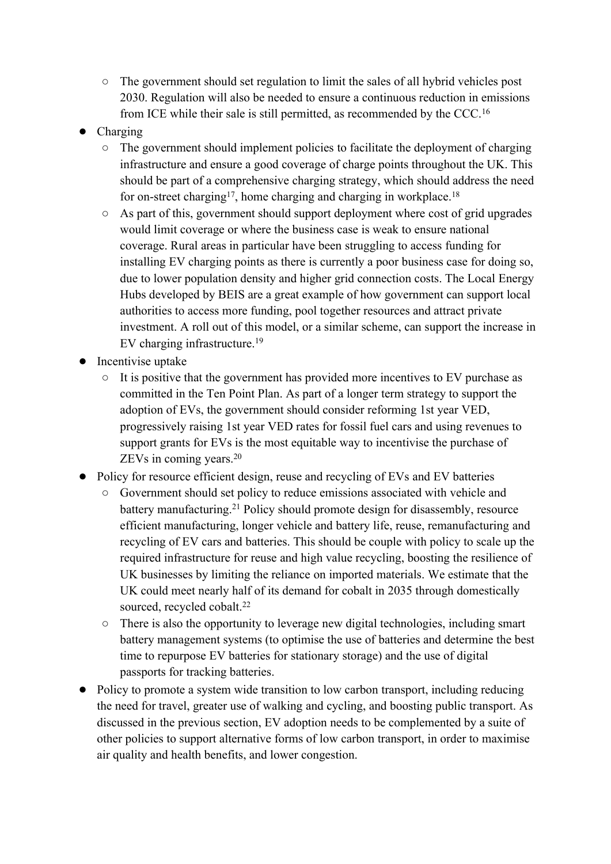- The government should set regulation to limit the sales of all hybrid vehicles post 2030. Regulation will also be needed to ensure a continuous reduction in emissions from ICE while their sale is still permitted, as recommended by the CCC.<sup>16</sup>
- Charging
	- The government should implement policies to facilitate the deployment of charging infrastructure and ensure a good coverage of charge points throughout the UK. This should be part of a comprehensive charging strategy, which should address the need for on-street charging<sup>17</sup>, home charging and charging in workplace.<sup>18</sup>
	- As part of this, government should support deployment where cost of grid upgrades would limit coverage or where the business case is weak to ensure national coverage. Rural areas in particular have been struggling to access funding for installing EV charging points as there is currently a poor business case for doing so, due to lower population density and higher grid connection costs. The Local Energy Hubs developed by BEIS are a great example of how government can support local authorities to access more funding, pool together resources and attract private investment. A roll out of this model, or a similar scheme, can support the increase in EV charging infrastructure.<sup>19</sup>
- Incentivise uptake
	- It is positive that the government has provided more incentives to EV purchase as committed in the Ten Point Plan. As part of a longer term strategy to support the adoption of EVs, the government should consider reforming 1st year VED, progressively raising 1st year VED rates for fossil fuel cars and using revenues to support grants for EVs is the most equitable way to incentivise the purchase of ZEVs in coming years.<sup>20</sup>
- Policy for resource efficient design, reuse and recycling of EVs and EV batteries
	- Government should set policy to reduce emissions associated with vehicle and battery manufacturing.<sup>21</sup> Policy should promote design for disassembly, resource efficient manufacturing, longer vehicle and battery life, reuse, remanufacturing and recycling of EV cars and batteries. This should be couple with policy to scale up the required infrastructure for reuse and high value recycling, boosting the resilience of UK businesses by limiting the reliance on imported materials. We estimate that the UK could meet nearly half of its demand for cobalt in 2035 through domestically sourced, recycled cobalt.<sup>22</sup>
	- There is also the opportunity to leverage new digital technologies, including smart battery management systems (to optimise the use of batteries and determine the best time to repurpose EV batteries for stationary storage) and the use of digital passports for tracking batteries.
- Policy to promote a system wide transition to low carbon transport, including reducing the need for travel, greater use of walking and cycling, and boosting public transport. As discussed in the previous section, EV adoption needs to be complemented by a suite of other policies to support alternative forms of low carbon transport, in order to maximise air quality and health benefits, and lower congestion.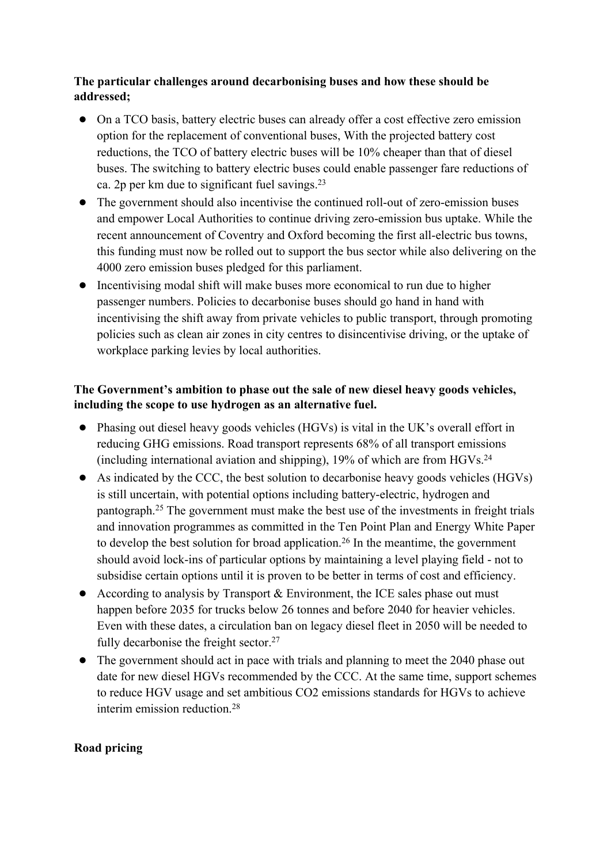# **The particular challenges around decarbonising buses and how these should be addressed;**

- On a TCO basis, battery electric buses can already offer a cost effective zero emission option for the replacement of conventional buses, With the projected battery cost reductions, the TCO of battery electric buses will be 10% cheaper than that of diesel buses. The switching to battery electric buses could enable passenger fare reductions of ca. 2p per km due to significant fuel savings.<sup>23</sup>
- The government should also incentivise the continued roll-out of zero-emission buses and empower Local Authorities to continue driving zero-emission bus uptake. While the recent announcement of Coventry and Oxford becoming the first all-electric bus towns, this funding must now be rolled out to support the bus sector while also delivering on the 4000 zero emission buses pledged for this parliament.
- Incentivising modal shift will make buses more economical to run due to higher passenger numbers. Policies to decarbonise buses should go hand in hand with incentivising the shift away from private vehicles to public transport, through promoting policies such as clean air zones in city centres to disincentivise driving, or the uptake of workplace parking levies by local authorities.

# **The Government's ambition to phase out the sale of new diesel heavy goods vehicles, including the scope to use hydrogen as an alternative fuel.**

- Phasing out diesel heavy goods vehicles (HGVs) is vital in the UK's overall effort in reducing GHG emissions. Road transport represents 68% of all transport emissions (including international aviation and shipping), 19% of which are from HGVs.<sup>24</sup>
- As indicated by the CCC, the best solution to decarbonise heavy goods vehicles (HGVs) is still uncertain, with potential options including battery-electric, hydrogen and pantograph.<sup>25</sup> The government must make the best use of the investments in freight trials and innovation programmes as committed in the Ten Point Plan and Energy White Paper to develop the best solution for broad application.<sup>26</sup> In the meantime, the government should avoid lock-ins of particular options by maintaining a level playing field - not to subsidise certain options until it is proven to be better in terms of cost and efficiency.
- According to analysis by Transport & Environment, the ICE sales phase out must happen before 2035 for trucks below 26 tonnes and before 2040 for heavier vehicles. Even with these dates, a circulation ban on legacy diesel fleet in 2050 will be needed to fully decarbonise the freight sector.<sup>27</sup>
- The government should act in pace with trials and planning to meet the 2040 phase out date for new diesel HGVs recommended by the CCC. At the same time, support schemes to reduce HGV usage and set ambitious CO2 emissions standards for HGVs to achieve interim emission reduction.<sup>28</sup>

# **Road pricing**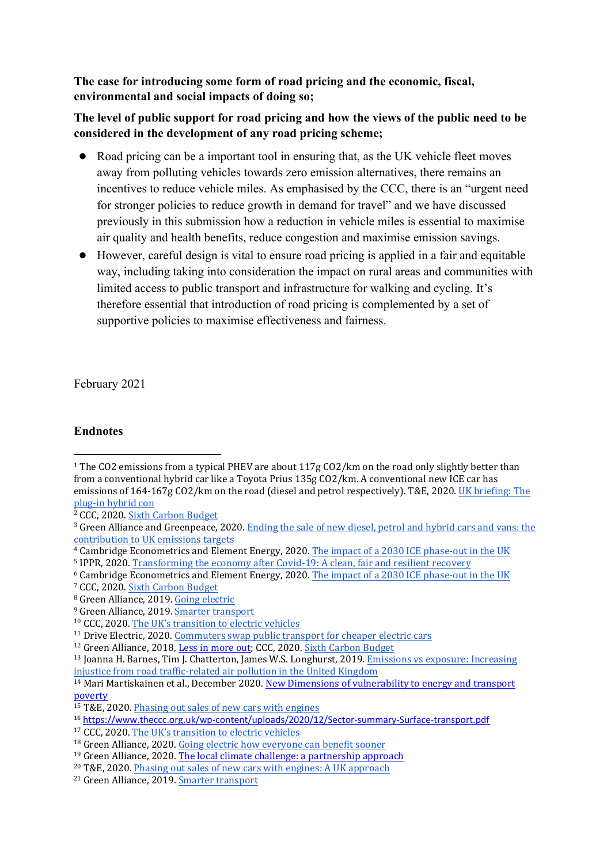**The case for introducing some form of road pricing and the economic, fiscal, environmental and social impacts of doing so;**

**The level of public support for road pricing and how the views of the public need to be considered in the development of any road pricing scheme;**

- Road pricing can be a important tool in ensuring that, as the UK vehicle fleet moves away from polluting vehicles towards zero emission alternatives, there remains an incentives to reduce vehicle miles. As emphasised by the CCC, there is an "urgent need for stronger policies to reduce growth in demand for travel" and we have discussed previously in this submission how a reduction in vehicle miles is essential to maximise air quality and health benefits, reduce congestion and maximise emission savings.
- However, careful design is vital to ensure road pricing is applied in a fair and equitable way, including taking into consideration the impact on rural areas and communities with limited access to public transport and infrastructure for walking and cycling. It's therefore essential that introduction of road pricing is complemented by a set of supportive policies to maximise effectiveness and fairness.

February 2021

#### **Endnotes**

<sup>1</sup> The CO2 emissions from a typical PHEV are about 117g CO2/km on the road only slightly better than from a conventional hybrid car like a Toyota Prius 135g CO2/km. A conventional new ICE c[a](https://www.transportenvironment.org/sites/te/files/publications/2020_09_UK_briefing_The_plug-in_hybrid_con.pdf)r has emissions of 164-167g CO2/km on the road (diesel and petrol respectively). T&E, 2020. [UK](https://www.transportenvironment.org/sites/te/files/publications/2020_09_UK_briefing_The_plug-in_hybrid_con.pdf) [briefing:](https://www.transportenvironment.org/sites/te/files/publications/2020_09_UK_briefing_The_plug-in_hybrid_con.pdf) [The](https://www.transportenvironment.org/sites/te/files/publications/2020_09_UK_briefing_The_plug-in_hybrid_con.pdf) [plug-in](https://www.transportenvironment.org/sites/te/files/publications/2020_09_UK_briefing_The_plug-in_hybrid_con.pdf) [hybrid](https://www.transportenvironment.org/sites/te/files/publications/2020_09_UK_briefing_The_plug-in_hybrid_con.pdf) [con](https://www.transportenvironment.org/sites/te/files/publications/2020_09_UK_briefing_The_plug-in_hybrid_con.pdf)

<sup>2</sup> CCC, 2020. [Sixth](https://www.theccc.org.uk/publication/sixth-carbon-budget/) [Carbon](https://www.theccc.org.uk/publication/sixth-carbon-budget/) [Budget](https://www.theccc.org.uk/publication/sixth-carbon-budget/)

<sup>3</sup> Green Alliance and Greenpeace, 2020. [Ending](https://www.green-alliance.org.uk/resources/Green_Alliance_Greenpeace_2030_ICE_Phase-Out_Briefing_September_2020.pdf) [the](https://www.green-alliance.org.uk/resources/Green_Alliance_Greenpeace_2030_ICE_Phase-Out_Briefing_September_2020.pdf) [sale](https://www.green-alliance.org.uk/resources/Green_Alliance_Greenpeace_2030_ICE_Phase-Out_Briefing_September_2020.pdf) [of](https://www.green-alliance.org.uk/resources/Green_Alliance_Greenpeace_2030_ICE_Phase-Out_Briefing_September_2020.pdf) [new](https://www.green-alliance.org.uk/resources/Green_Alliance_Greenpeace_2030_ICE_Phase-Out_Briefing_September_2020.pdf) [diesel,](https://www.green-alliance.org.uk/resources/Green_Alliance_Greenpeace_2030_ICE_Phase-Out_Briefing_September_2020.pdf) [petrol](https://www.green-alliance.org.uk/resources/Green_Alliance_Greenpeace_2030_ICE_Phase-Out_Briefing_September_2020.pdf) [and](https://www.green-alliance.org.uk/resources/Green_Alliance_Greenpeace_2030_ICE_Phase-Out_Briefing_September_2020.pdf) [hybrid](https://www.green-alliance.org.uk/resources/Green_Alliance_Greenpeace_2030_ICE_Phase-Out_Briefing_September_2020.pdf) [cars](https://www.green-alliance.org.uk/resources/Green_Alliance_Greenpeace_2030_ICE_Phase-Out_Briefing_September_2020.pdf) [and](https://www.green-alliance.org.uk/resources/Green_Alliance_Greenpeace_2030_ICE_Phase-Out_Briefing_September_2020.pdf) [vans:](https://www.green-alliance.org.uk/resources/Green_Alliance_Greenpeace_2030_ICE_Phase-Out_Briefing_September_2020.pdf) [the](https://www.green-alliance.org.uk/resources/Green_Alliance_Greenpeace_2030_ICE_Phase-Out_Briefing_September_2020.pdf) [contribution](https://www.green-alliance.org.uk/resources/Green_Alliance_Greenpeace_2030_ICE_Phase-Out_Briefing_September_2020.pdf) [to](https://www.green-alliance.org.uk/resources/Green_Alliance_Greenpeace_2030_ICE_Phase-Out_Briefing_September_2020.pdf) [UK](https://www.green-alliance.org.uk/resources/Green_Alliance_Greenpeace_2030_ICE_Phase-Out_Briefing_September_2020.pdf) [emissions](https://www.green-alliance.org.uk/resources/Green_Alliance_Greenpeace_2030_ICE_Phase-Out_Briefing_September_2020.pdf) [targets](https://www.green-alliance.org.uk/resources/Green_Alliance_Greenpeace_2030_ICE_Phase-Out_Briefing_September_2020.pdf)

<sup>4</sup> Cambridge Econometrics and Element Energy, 2020. [The](https://www.greenpeace.org.uk/resources/the-impact-of-a-2030-ice-phase-out-in-the-uk/#:~:text=Under%20a%202030%20phase%20out,is%20zero-emission%20by%202040.&text=The%20more%20rapid%20transition%20is,across%20the%20economy%20in%202030.) [impact](https://www.greenpeace.org.uk/resources/the-impact-of-a-2030-ice-phase-out-in-the-uk/#:~:text=Under%20a%202030%20phase%20out,is%20zero-emission%20by%202040.&text=The%20more%20rapid%20transition%20is,across%20the%20economy%20in%202030.) [of](https://www.greenpeace.org.uk/resources/the-impact-of-a-2030-ice-phase-out-in-the-uk/#:~:text=Under%20a%202030%20phase%20out,is%20zero-emission%20by%202040.&text=The%20more%20rapid%20transition%20is,across%20the%20economy%20in%202030.) [a](https://www.greenpeace.org.uk/resources/the-impact-of-a-2030-ice-phase-out-in-the-uk/#:~:text=Under%20a%202030%20phase%20out,is%20zero-emission%20by%202040.&text=The%20more%20rapid%20transition%20is,across%20the%20economy%20in%202030.) [2030](https://www.greenpeace.org.uk/resources/the-impact-of-a-2030-ice-phase-out-in-the-uk/#:~:text=Under%20a%202030%20phase%20out,is%20zero-emission%20by%202040.&text=The%20more%20rapid%20transition%20is,across%20the%20economy%20in%202030.) [ICE](https://www.greenpeace.org.uk/resources/the-impact-of-a-2030-ice-phase-out-in-the-uk/#:~:text=Under%20a%202030%20phase%20out,is%20zero-emission%20by%202040.&text=The%20more%20rapid%20transition%20is,across%20the%20economy%20in%202030.) [phase-out](https://www.greenpeace.org.uk/resources/the-impact-of-a-2030-ice-phase-out-in-the-uk/#:~:text=Under%20a%202030%20phase%20out,is%20zero-emission%20by%202040.&text=The%20more%20rapid%20transition%20is,across%20the%20economy%20in%202030.) [in](https://www.greenpeace.org.uk/resources/the-impact-of-a-2030-ice-phase-out-in-the-uk/#:~:text=Under%20a%202030%20phase%20out,is%20zero-emission%20by%202040.&text=The%20more%20rapid%20transition%20is,across%20the%20economy%20in%202030.) [the](https://www.greenpeace.org.uk/resources/the-impact-of-a-2030-ice-phase-out-in-the-uk/#:~:text=Under%20a%202030%20phase%20out,is%20zero-emission%20by%202040.&text=The%20more%20rapid%20transition%20is,across%20the%20economy%20in%202030.) [UK](https://www.greenpeace.org.uk/resources/the-impact-of-a-2030-ice-phase-out-in-the-uk/#:~:text=Under%20a%202030%20phase%20out,is%20zero-emission%20by%202040.&text=The%20more%20rapid%20transition%20is,across%20the%20economy%20in%202030.)

<sup>&</sup>lt;sup>5</sup> IPPR, 2020. [Transforming](https://www.ippr.org/research/publications/transforming-the-economy-after-covid19) [the](https://www.ippr.org/research/publications/transforming-the-economy-after-covid19) [economy](https://www.ippr.org/research/publications/transforming-the-economy-after-covid19) [after](https://www.ippr.org/research/publications/transforming-the-economy-after-covid19) [Covid-19:](https://www.ippr.org/research/publications/transforming-the-economy-after-covid19) [A](https://www.ippr.org/research/publications/transforming-the-economy-after-covid19) [clean,](https://www.ippr.org/research/publications/transforming-the-economy-after-covid19) [fair](https://www.ippr.org/research/publications/transforming-the-economy-after-covid19) [and](https://www.ippr.org/research/publications/transforming-the-economy-after-covid19) [resilient](https://www.ippr.org/research/publications/transforming-the-economy-after-covid19) [recovery](https://www.ippr.org/research/publications/transforming-the-economy-after-covid19)

<sup>6</sup> Cambridge Econometrics and Element Energy, 2020. [The](https://www.greenpeace.org.uk/resources/the-impact-of-a-2030-ice-phase-out-in-the-uk/#:~:text=Under%20a%202030%20phase%20out,is%20zero-emission%20by%202040.&text=The%20more%20rapid%20transition%20is,across%20the%20economy%20in%202030.) [impact](https://www.greenpeace.org.uk/resources/the-impact-of-a-2030-ice-phase-out-in-the-uk/#:~:text=Under%20a%202030%20phase%20out,is%20zero-emission%20by%202040.&text=The%20more%20rapid%20transition%20is,across%20the%20economy%20in%202030.) [of](https://www.greenpeace.org.uk/resources/the-impact-of-a-2030-ice-phase-out-in-the-uk/#:~:text=Under%20a%202030%20phase%20out,is%20zero-emission%20by%202040.&text=The%20more%20rapid%20transition%20is,across%20the%20economy%20in%202030.) [a](https://www.greenpeace.org.uk/resources/the-impact-of-a-2030-ice-phase-out-in-the-uk/#:~:text=Under%20a%202030%20phase%20out,is%20zero-emission%20by%202040.&text=The%20more%20rapid%20transition%20is,across%20the%20economy%20in%202030.) [2030](https://www.greenpeace.org.uk/resources/the-impact-of-a-2030-ice-phase-out-in-the-uk/#:~:text=Under%20a%202030%20phase%20out,is%20zero-emission%20by%202040.&text=The%20more%20rapid%20transition%20is,across%20the%20economy%20in%202030.) [ICE](https://www.greenpeace.org.uk/resources/the-impact-of-a-2030-ice-phase-out-in-the-uk/#:~:text=Under%20a%202030%20phase%20out,is%20zero-emission%20by%202040.&text=The%20more%20rapid%20transition%20is,across%20the%20economy%20in%202030.) [phase-out](https://www.greenpeace.org.uk/resources/the-impact-of-a-2030-ice-phase-out-in-the-uk/#:~:text=Under%20a%202030%20phase%20out,is%20zero-emission%20by%202040.&text=The%20more%20rapid%20transition%20is,across%20the%20economy%20in%202030.) [in](https://www.greenpeace.org.uk/resources/the-impact-of-a-2030-ice-phase-out-in-the-uk/#:~:text=Under%20a%202030%20phase%20out,is%20zero-emission%20by%202040.&text=The%20more%20rapid%20transition%20is,across%20the%20economy%20in%202030.) [the](https://www.greenpeace.org.uk/resources/the-impact-of-a-2030-ice-phase-out-in-the-uk/#:~:text=Under%20a%202030%20phase%20out,is%20zero-emission%20by%202040.&text=The%20more%20rapid%20transition%20is,across%20the%20economy%20in%202030.) [UK](https://www.greenpeace.org.uk/resources/the-impact-of-a-2030-ice-phase-out-in-the-uk/#:~:text=Under%20a%202030%20phase%20out,is%20zero-emission%20by%202040.&text=The%20more%20rapid%20transition%20is,across%20the%20economy%20in%202030.)

<sup>7</sup> CCC, 2020. [Sixth](https://www.theccc.org.uk/publication/sixth-carbon-budget/) [Carbon](https://www.theccc.org.uk/publication/sixth-carbon-budget/) [Budget](https://www.theccc.org.uk/publication/sixth-carbon-budget/)

<sup>8</sup> Green Alliance, 2019. [Going](https://www.green-alliance.org.uk/resources/going_electric_how_everyone_can_benefit_sooner.pdf) [electric](https://www.green-alliance.org.uk/resources/going_electric_how_everyone_can_benefit_sooner.pdf)

<sup>&</sup>lt;sup>9</sup> Green Alliance, 2019. **[Smarter](https://www.green-alliance.org.uk/resources/smarter_transport.pdf) [transport](https://www.green-alliance.org.uk/resources/smarter_transport.pdf)** 

<sup>10</sup> CCC, 2020. [The](https://www.theccc.org.uk/publication/the-uks-transition-to-electric-vehicles/) [UK's](https://www.theccc.org.uk/publication/the-uks-transition-to-electric-vehicles/) [transition](https://www.theccc.org.uk/publication/the-uks-transition-to-electric-vehicles/) [to](https://www.theccc.org.uk/publication/the-uks-transition-to-electric-vehicles/) [electric](https://www.theccc.org.uk/publication/the-uks-transition-to-electric-vehicles/) [vehicles](https://www.theccc.org.uk/publication/the-uks-transition-to-electric-vehicles/)

<sup>&</sup>lt;sup>11</sup> Drive Electric, 2020. [Commuters](https://www.drive-electric.co.uk/commuters-swap-public-transport-for-cheaper-electric-cars/) [swap](https://www.drive-electric.co.uk/commuters-swap-public-transport-for-cheaper-electric-cars/) [public](https://www.drive-electric.co.uk/commuters-swap-public-transport-for-cheaper-electric-cars/) [transport](https://www.drive-electric.co.uk/commuters-swap-public-transport-for-cheaper-electric-cars/) [for](https://www.drive-electric.co.uk/commuters-swap-public-transport-for-cheaper-electric-cars/) [cheaper](https://www.drive-electric.co.uk/commuters-swap-public-transport-for-cheaper-electric-cars/) [electric](https://www.drive-electric.co.uk/commuters-swap-public-transport-for-cheaper-electric-cars/) [cars](https://www.drive-electric.co.uk/commuters-swap-public-transport-for-cheaper-electric-cars/)

<sup>12</sup> Green Alliance, 2018, [Less](https://www.green-alliance.org.uk/resources/Less_in_more_out.pdf) [in](https://www.green-alliance.org.uk/resources/Less_in_more_out.pdf) [more](https://www.green-alliance.org.uk/resources/Less_in_more_out.pdf) [out;](https://www.green-alliance.org.uk/resources/Less_in_more_out.pdf) CCC, 2020. [Sixth](https://www.theccc.org.uk/publication/sixth-carbon-budget/) [Carbon](https://www.theccc.org.uk/publication/sixth-carbon-budget/) [Budget](https://www.theccc.org.uk/publication/sixth-carbon-budget/)

<sup>13</sup> Joanna H. Barnes, Tim J. Chatterton, James W.S. Longhurst, 2019. [Emissions](https://www.sciencedirect.com/science/article/pii/S1361920919300392) [vs](https://www.sciencedirect.com/science/article/pii/S1361920919300392) [exposure:](https://www.sciencedirect.com/science/article/pii/S1361920919300392) [Increasing](https://www.sciencedirect.com/science/article/pii/S1361920919300392) [injustice](https://www.sciencedirect.com/science/article/pii/S1361920919300392) [from](https://www.sciencedirect.com/science/article/pii/S1361920919300392) [road](https://www.sciencedirect.com/science/article/pii/S1361920919300392) [traffic-related](https://www.sciencedirect.com/science/article/pii/S1361920919300392) [air](https://www.sciencedirect.com/science/article/pii/S1361920919300392) [pollution](https://www.sciencedirect.com/science/article/pii/S1361920919300392) [in](https://www.sciencedirect.com/science/article/pii/S1361920919300392) [the](https://www.sciencedirect.com/science/article/pii/S1361920919300392) [United](https://www.sciencedirect.com/science/article/pii/S1361920919300392) [Kingdom](https://www.sciencedirect.com/science/article/pii/S1361920919300392)

<sup>14</sup> Mari Martiskainen et al., December 2020. [New](https://www.creds.ac.uk/publications/new-dimensions-of-vulnerability-to-energy-and-transport-poverty/) [Dimensions](https://www.creds.ac.uk/publications/new-dimensions-of-vulnerability-to-energy-and-transport-poverty/) [of](https://www.creds.ac.uk/publications/new-dimensions-of-vulnerability-to-energy-and-transport-poverty/) [vulnerability](https://www.creds.ac.uk/publications/new-dimensions-of-vulnerability-to-energy-and-transport-poverty/) [to](https://www.creds.ac.uk/publications/new-dimensions-of-vulnerability-to-energy-and-transport-poverty/) [energy](https://www.creds.ac.uk/publications/new-dimensions-of-vulnerability-to-energy-and-transport-poverty/) [and](https://www.creds.ac.uk/publications/new-dimensions-of-vulnerability-to-energy-and-transport-poverty/) [transport](https://www.creds.ac.uk/publications/new-dimensions-of-vulnerability-to-energy-and-transport-poverty/) [poverty](https://www.creds.ac.uk/publications/new-dimensions-of-vulnerability-to-energy-and-transport-poverty/)

<sup>&</sup>lt;sup>15</sup> T&E, 2020. [Phasing](https://www.transportenvironment.org/sites/te/files/publications/2020_07_Banning_cars_with_engines_a_UK_approach_FINAL.pdfhttps://www.transportenvironment.org/sites/te/files/publications/2020_07_Banning_cars_with_engines_a_UK_approach_FINAL.pdf) [out](https://www.transportenvironment.org/sites/te/files/publications/2020_07_Banning_cars_with_engines_a_UK_approach_FINAL.pdfhttps://www.transportenvironment.org/sites/te/files/publications/2020_07_Banning_cars_with_engines_a_UK_approach_FINAL.pdf) [sales](https://www.transportenvironment.org/sites/te/files/publications/2020_07_Banning_cars_with_engines_a_UK_approach_FINAL.pdfhttps://www.transportenvironment.org/sites/te/files/publications/2020_07_Banning_cars_with_engines_a_UK_approach_FINAL.pdf) [of](https://www.transportenvironment.org/sites/te/files/publications/2020_07_Banning_cars_with_engines_a_UK_approach_FINAL.pdfhttps://www.transportenvironment.org/sites/te/files/publications/2020_07_Banning_cars_with_engines_a_UK_approach_FINAL.pdf) [new](https://www.transportenvironment.org/sites/te/files/publications/2020_07_Banning_cars_with_engines_a_UK_approach_FINAL.pdfhttps://www.transportenvironment.org/sites/te/files/publications/2020_07_Banning_cars_with_engines_a_UK_approach_FINAL.pdf) [cars](https://www.transportenvironment.org/sites/te/files/publications/2020_07_Banning_cars_with_engines_a_UK_approach_FINAL.pdfhttps://www.transportenvironment.org/sites/te/files/publications/2020_07_Banning_cars_with_engines_a_UK_approach_FINAL.pdf) [with](https://www.transportenvironment.org/sites/te/files/publications/2020_07_Banning_cars_with_engines_a_UK_approach_FINAL.pdfhttps://www.transportenvironment.org/sites/te/files/publications/2020_07_Banning_cars_with_engines_a_UK_approach_FINAL.pdf) [engines](https://www.transportenvironment.org/sites/te/files/publications/2020_07_Banning_cars_with_engines_a_UK_approach_FINAL.pdfhttps://www.transportenvironment.org/sites/te/files/publications/2020_07_Banning_cars_with_engines_a_UK_approach_FINAL.pdf)

<sup>16</sup> <https://www.theccc.org.uk/wp-content/uploads/2020/12/Sector-summary-Surface-transport.pdf>

<sup>17</sup> CCC, 2020. [The](https://www.theccc.org.uk/publication/the-uks-transition-to-electric-vehicles/) [UK's](https://www.theccc.org.uk/publication/the-uks-transition-to-electric-vehicles/) [transition](https://www.theccc.org.uk/publication/the-uks-transition-to-electric-vehicles/) [to](https://www.theccc.org.uk/publication/the-uks-transition-to-electric-vehicles/) [electric](https://www.theccc.org.uk/publication/the-uks-transition-to-electric-vehicles/) [vehicles](https://www.theccc.org.uk/publication/the-uks-transition-to-electric-vehicles/)

<sup>18</sup> Green Alliance, 2020. [Going](https://www.green-alliance.org.uk/resources/going_electric_how_everyone_can_benefit_sooner.pdf) [electric](https://www.green-alliance.org.uk/resources/going_electric_how_everyone_can_benefit_sooner.pdf) [how](https://www.green-alliance.org.uk/resources/going_electric_how_everyone_can_benefit_sooner.pdf) [everyone](https://www.green-alliance.org.uk/resources/going_electric_how_everyone_can_benefit_sooner.pdf) [can](https://www.green-alliance.org.uk/resources/going_electric_how_everyone_can_benefit_sooner.pdf) [benefit](https://www.green-alliance.org.uk/resources/going_electric_how_everyone_can_benefit_sooner.pdf) [sooner](https://www.green-alliance.org.uk/resources/going_electric_how_everyone_can_benefit_sooner.pdf)

<sup>19</sup> Green Alliance, 2020. [The](https://www.green-alliance.org.uk/the_local_climate_challenge.php) [local](https://www.green-alliance.org.uk/the_local_climate_challenge.php) [climate](https://www.green-alliance.org.uk/the_local_climate_challenge.php) [challenge:](https://www.green-alliance.org.uk/the_local_climate_challenge.php) [a](https://www.green-alliance.org.uk/the_local_climate_challenge.php) [partnership](https://www.green-alliance.org.uk/the_local_climate_challenge.php) [approach](https://www.green-alliance.org.uk/the_local_climate_challenge.php)

<sup>20</sup> T&E, 2020. [Phasing](https://www.transportenvironment.org/sites/te/files/publications/2020_07_Banning_cars_with_engines_a_UK_approach_FINAL.pdf) [out](https://www.transportenvironment.org/sites/te/files/publications/2020_07_Banning_cars_with_engines_a_UK_approach_FINAL.pdf) [sales](https://www.transportenvironment.org/sites/te/files/publications/2020_07_Banning_cars_with_engines_a_UK_approach_FINAL.pdf) [of](https://www.transportenvironment.org/sites/te/files/publications/2020_07_Banning_cars_with_engines_a_UK_approach_FINAL.pdf) [new](https://www.transportenvironment.org/sites/te/files/publications/2020_07_Banning_cars_with_engines_a_UK_approach_FINAL.pdf) [cars](https://www.transportenvironment.org/sites/te/files/publications/2020_07_Banning_cars_with_engines_a_UK_approach_FINAL.pdf) [with](https://www.transportenvironment.org/sites/te/files/publications/2020_07_Banning_cars_with_engines_a_UK_approach_FINAL.pdf) [engines:](https://www.transportenvironment.org/sites/te/files/publications/2020_07_Banning_cars_with_engines_a_UK_approach_FINAL.pdf) [A](https://www.transportenvironment.org/sites/te/files/publications/2020_07_Banning_cars_with_engines_a_UK_approach_FINAL.pdf) [UK](https://www.transportenvironment.org/sites/te/files/publications/2020_07_Banning_cars_with_engines_a_UK_approach_FINAL.pdf) [approach](https://www.transportenvironment.org/sites/te/files/publications/2020_07_Banning_cars_with_engines_a_UK_approach_FINAL.pdf)

<sup>21</sup> Green Alliance, 2019. [Smarter](https://www.green-alliance.org.uk/resources/smarter_transport.pdf) [transport](https://www.green-alliance.org.uk/resources/smarter_transport.pdf)